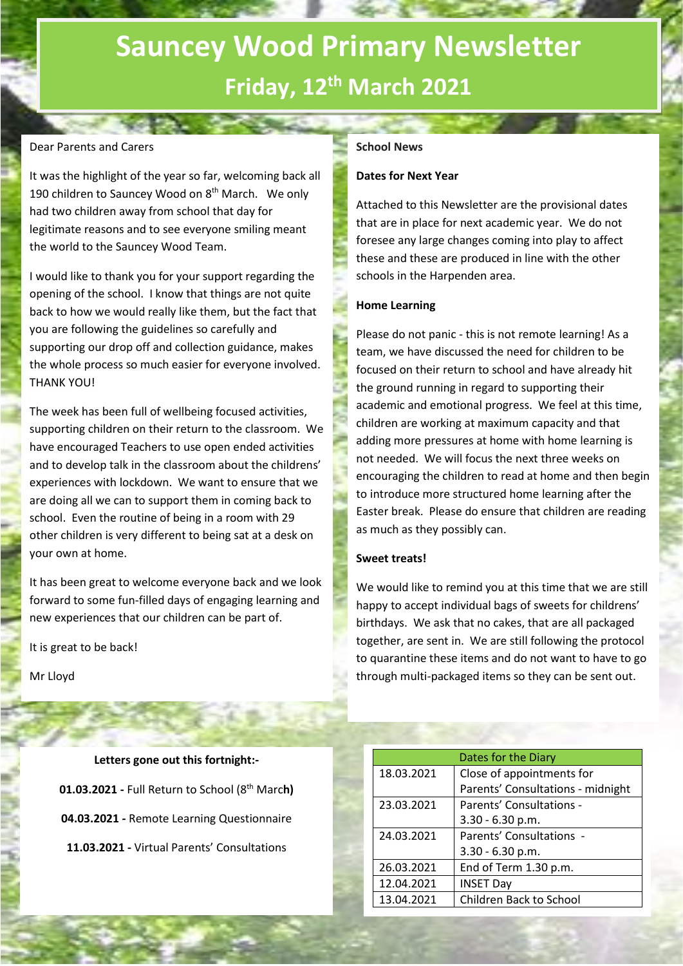# **Sauncey Wood Primary Newsletter Friday, 12th March 2021**

# Dear Parents and Carers

It was the highlight of the year so far, welcoming back all 190 children to Sauncey Wood on 8<sup>th</sup> March. We only had two children away from school that day for legitimate reasons and to see everyone smiling meant the world to the Sauncey Wood Team.

I would like to thank you for your support regarding the opening of the school. I know that things are not quite back to how we would really like them, but the fact that you are following the guidelines so carefully and supporting our drop off and collection guidance, makes the whole process so much easier for everyone involved. THANK YOU!

The week has been full of wellbeing focused activities, supporting children on their return to the classroom. We have encouraged Teachers to use open ended activities and to develop talk in the classroom about the childrens' experiences with lockdown. We want to ensure that we are doing all we can to support them in coming back to school. Even the routine of being in a room with 29 other children is very different to being sat at a desk on your own at home.

It has been great to welcome everyone back and we look forward to some fun-filled days of engaging learning and new experiences that our children can be part of.

It is great to be back!

Mr Lloyd

**Letters gone out this fortnight:- 01.03.2021 -** Full Return to School (8th Marc**h) 04.03.2021 -** Remote Learning Questionnaire **11.03.2021 -** Virtual Parents' Consultations

# **School News**

### **Dates for Next Year**

Attached to this Newsletter are the provisional dates that are in place for next academic year. We do not foresee any large changes coming into play to affect these and these are produced in line with the other schools in the Harpenden area.

#### **Home Learning**

Please do not panic - this is not remote learning! As a team, we have discussed the need for children to be focused on their return to school and have already hit the ground running in regard to supporting their academic and emotional progress. We feel at this time, children are working at maximum capacity and that adding more pressures at home with home learning is not needed. We will focus the next three weeks on encouraging the children to read at home and then begin to introduce more structured home learning after the Easter break. Please do ensure that children are reading as much as they possibly can.

## **Sweet treats!**

We would like to remind you at this time that we are still happy to accept individual bags of sweets for childrens' birthdays. We ask that no cakes, that are all packaged together, are sent in. We are still following the protocol to quarantine these items and do not want to have to go through multi-packaged items so they can be sent out.

|            | Dates for the Diary               |
|------------|-----------------------------------|
| 18.03.2021 | Close of appointments for         |
|            | Parents' Consultations - midnight |
| 23.03.2021 | Parents' Consultations -          |
|            | $3.30 - 6.30$ p.m.                |
| 24.03.2021 | Parents' Consultations -          |
|            | $3.30 - 6.30$ p.m.                |
| 26.03.2021 | End of Term 1.30 p.m.             |
| 12.04.2021 | <b>INSET Day</b>                  |
| 13.04.2021 | Children Back to School           |
|            |                                   |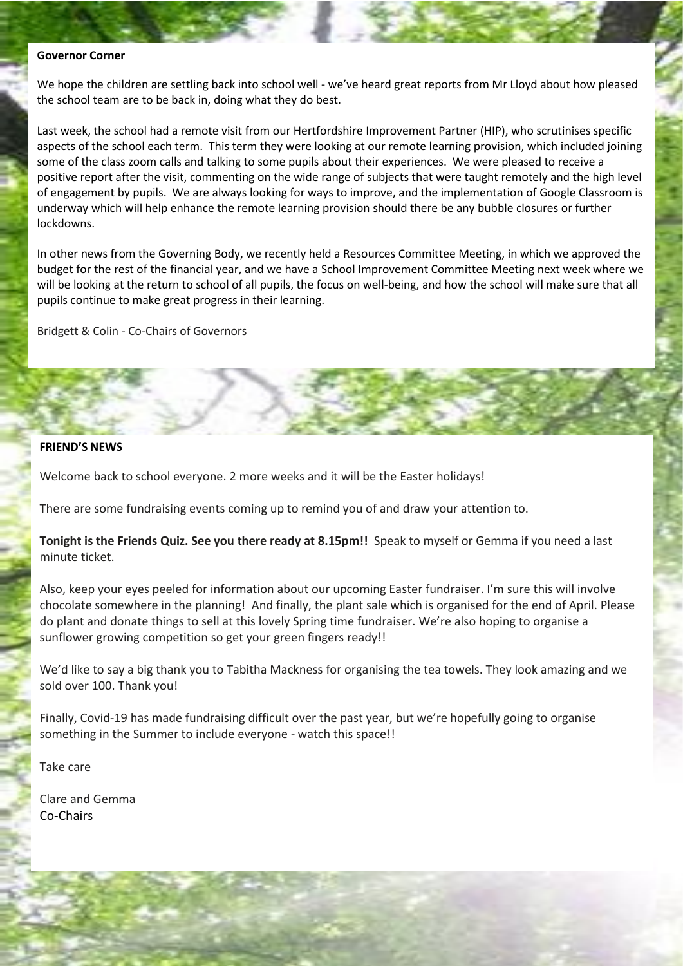#### **Governor Corner**

We hope the children are settling back into school well - we've heard great reports from Mr Lloyd about how pleased the school team are to be back in, doing what they do best.

Last week, the school had a remote visit from our Hertfordshire Improvement Partner (HIP), who scrutinises specific aspects of the school each term. This term they were looking at our remote learning provision, which included joining some of the class zoom calls and talking to some pupils about their experiences. We were pleased to receive a positive report after the visit, commenting on the wide range of subjects that were taught remotely and the high level of engagement by pupils. We are always looking for ways to improve, and the implementation of Google Classroom is underway which will help enhance the remote learning provision should there be any bubble closures or further lockdowns.

In other news from the Governing Body, we recently held a Resources Committee Meeting, in which we approved the budget for the rest of the financial year, and we have a School Improvement Committee Meeting next week where we will be looking at the return to school of all pupils, the focus on well-being, and how the school will make sure that all pupils continue to make great progress in their learning.

Bridgett & Colin - Co-Chairs of Governors

## **FRIEND'S NEWS**

Welcome back to school everyone. 2 more weeks and it will be the Easter holidays!

There are some fundraising events coming up to remind you of and draw your attention to.

**Tonight is the Friends Quiz. See you there ready at 8.15pm!!** Speak to myself or Gemma if you need a last minute ticket.

Also, keep your eyes peeled for information about our upcoming Easter fundraiser. I'm sure this will involve chocolate somewhere in the planning! And finally, the plant sale which is organised for the end of April. Please do plant and donate things to sell at this lovely Spring time fundraiser. We're also hoping to organise a sunflower growing competition so get your green fingers ready!!

We'd like to say a big thank you to Tabitha Mackness for organising the tea towels. They look amazing and we sold over 100. Thank you!

Finally, Covid-19 has made fundraising difficult over the past year, but we're hopefully going to organise something in the Summer to include everyone - watch this space!!

Take care

Clare and Gemma Co-Chairs